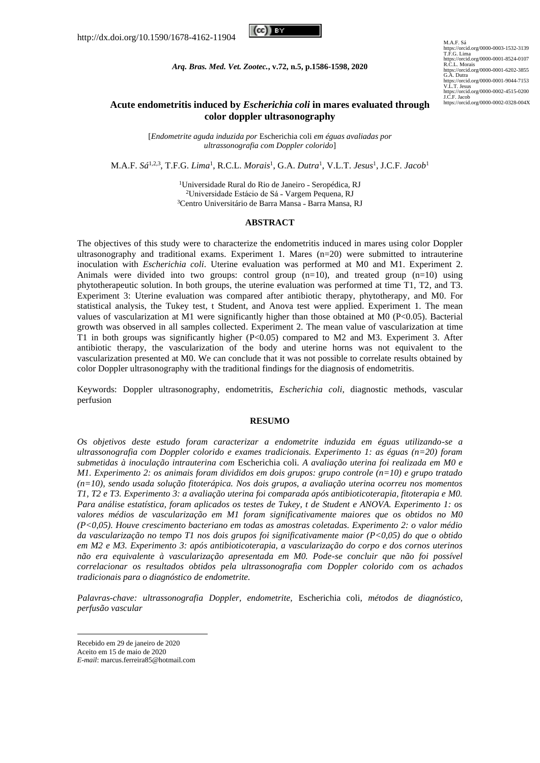

*Arq. Bras. Med. Vet. Zootec.***, v.72, n.5, p.1586-1598, 2020**

M.A.F. Sá<br>https://orcid.org/0000-0003-1532-3139<br>T.F.G. Lima<br>https://orcid.org/0000-0001-8524-0107<br>R.C.L. Morais https://orcid.org/0000-0001-6202-3855<br>https://orcid.org/0000-0001-9044-7153<br>V.L.T. Jesus<br>V.L.T. Jesus<br>Jr.C.F. Jacob<br>Jr.C.F. Jacob<br>Jr.C.F. Jacob<br>Jr.C.F. Jacob (10000-0002-4515-0200<br>https://orcid.org/0000-0002-0328-004X

# **Acute endometritis induced by** *Escherichia coli* **in mares evaluated through color doppler ultrasonography**

[*Endometrite aguda induzida por* Escherichia coli *em éguas avaliadas por ultrassonografia com Doppler colorido*]

M.A.F. *Sá*1,2,3 , T.F.G. *Lima*<sup>1</sup> , R.C.L. *Morais*<sup>1</sup> , G.A. *Dutra*<sup>1</sup> , V.L.T. *Jesus*<sup>1</sup> , J.C.F. *Jacob*<sup>1</sup>

<sup>1</sup>Universidade Rural do Rio de Janeiro - Seropédica, RJ <sup>2</sup>Universidade Estácio de Sá - Vargem Pequena, RJ <sup>3</sup>Centro Universitário de Barra Mansa - Barra Mansa, RJ

### **ABSTRACT**

The objectives of this study were to characterize the endometritis induced in mares using color Doppler ultrasonography and traditional exams. Experiment 1. Mares (n=20) were submitted to intrauterine inoculation with *Escherichia coli*. Uterine evaluation was performed at M0 and M1. Experiment 2. Animals were divided into two groups: control group  $(n=10)$ , and treated group  $(n=10)$  using phytotherapeutic solution. In both groups, the uterine evaluation was performed at time T1, T2, and T3. Experiment 3: Uterine evaluation was compared after antibiotic therapy, phytotherapy, and M0. For statistical analysis, the Tukey test, t Student, and Anova test were applied. Experiment 1. The mean values of vascularization at M1 were significantly higher than those obtained at M0 (P<0.05). Bacterial growth was observed in all samples collected. Experiment 2. The mean value of vascularization at time T1 in both groups was significantly higher (P<0.05) compared to M2 and M3. Experiment 3. After antibiotic therapy, the vascularization of the body and uterine horns was not equivalent to the vascularization presented at M0. We can conclude that it was not possible to correlate results obtained by color Doppler ultrasonography with the traditional findings for the diagnosis of endometritis.

Keywords: Doppler ultrasonography, endometritis, *Escherichia coli*, diagnostic methods, vascular perfusion

### **RESUMO**

*Os objetivos deste estudo foram caracterizar a endometrite induzida em éguas utilizando-se a ultrassonografia com Doppler colorido e exames tradicionais. Experimento 1: as éguas (n=20) foram submetidas à inoculação intrauterina com* Escherichia coli. *A avaliação uterina foi realizada em M0 e M1. Experimento 2: os animais foram divididos em dois grupos: grupo controle (n=10) e grupo tratado (n=10), sendo usada solução fitoterápica. Nos dois grupos, a avaliação uterina ocorreu nos momentos T1, T2 e T3. Experimento 3: a avaliação uterina foi comparada após antibioticoterapia, fitoterapia e M0. Para análise estatística, foram aplicados os testes de Tukey, t de Student e ANOVA. Experimento 1: os valores médios de vascularização em M1 foram significativamente maiores que os obtidos no M0 (P<0,05). Houve crescimento bacteriano em todas as amostras coletadas. Experimento 2: o valor médio da vascularização no tempo T1 nos dois grupos foi significativamente maior (P<0,05) do que o obtido em M2 e M3. Experimento 3: após antibioticoterapia, a vascularização do corpo e dos cornos uterinos não era equivalente à vascularização apresentada em M0. Pode-se concluir que não foi possível correlacionar os resultados obtidos pela ultrassonografia com Doppler colorido com os achados tradicionais para o diagnóstico de endometrite.*

*Palavras-chave: ultrassonografia Doppler, endometrite,* Escherichia coli*, métodos de diagnóstico, perfusão vascular*

Recebido em 29 de janeiro de 2020

Aceito em 15 de maio de 2020

*E-mail*: marcus.ferreira85@hotmail.com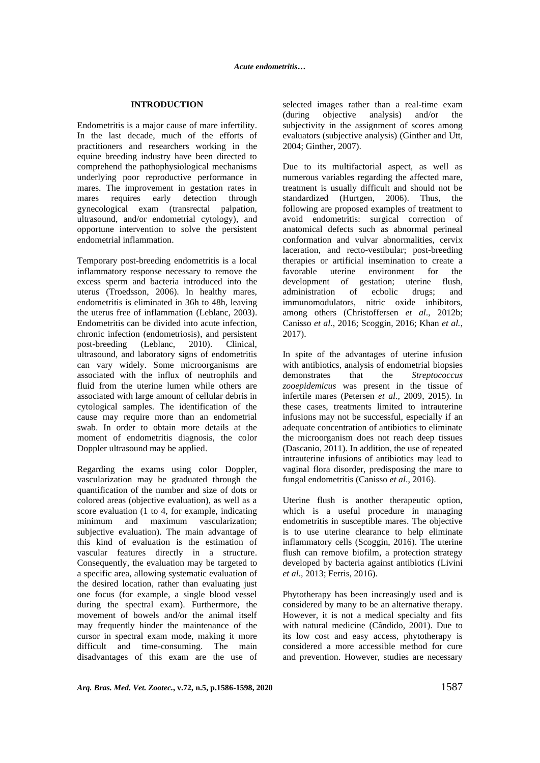#### **INTRODUCTION**

Endometritis is a major cause of mare infertility. In the last decade, much of the efforts of practitioners and researchers working in the equine breeding industry have been directed to comprehend the pathophysiological mechanisms underlying poor reproductive performance in mares. The improvement in gestation rates in mares requires early detection through gynecological exam (transrectal palpation, ultrasound, and/or endometrial cytology), and opportune intervention to solve the persistent endometrial inflammation.

Temporary post-breeding endometritis is a local inflammatory response necessary to remove the excess sperm and bacteria introduced into the uterus (Troedsson, 2006). In healthy mares, endometritis is eliminated in 36h to 48h, leaving the uterus free of inflammation (Leblanc, 2003). Endometritis can be divided into acute infection, chronic infection (endometriosis), and persistent post-breeding (Leblanc, 2010). Clinical, ultrasound, and laboratory signs of endometritis can vary widely. Some microorganisms are associated with the influx of neutrophils and fluid from the uterine lumen while others are associated with large amount of cellular debris in cytological samples. The identification of the cause may require more than an endometrial swab. In order to obtain more details at the moment of endometritis diagnosis, the color Doppler ultrasound may be applied.

Regarding the exams using color Doppler, vascularization may be graduated through the quantification of the number and size of dots or colored areas (objective evaluation), as well as a score evaluation (1 to 4, for example, indicating minimum and maximum vascularization; subjective evaluation). The main advantage of this kind of evaluation is the estimation of vascular features directly in a structure. Consequently, the evaluation may be targeted to a specific area, allowing systematic evaluation of the desired location, rather than evaluating just one focus (for example, a single blood vessel during the spectral exam). Furthermore, the movement of bowels and/or the animal itself may frequently hinder the maintenance of the cursor in spectral exam mode, making it more difficult and time-consuming. The main disadvantages of this exam are the use of selected images rather than a real-time exam (during objective analysis) and/or the subjectivity in the assignment of scores among evaluators (subjective analysis) (Ginther and Utt, 2004; Ginther, 2007).

Due to its multifactorial aspect, as well as numerous variables regarding the affected mare, treatment is usually difficult and should not be standardized (Hurtgen, 2006). Thus, the following are proposed examples of treatment to avoid endometritis: surgical correction of anatomical defects such as abnormal perineal conformation and vulvar abnormalities, cervix laceration, and recto-vestibular; post-breeding therapies or artificial insemination to create a favorable uterine environment for the development of gestation; uterine flush, administration of ecbolic drugs; and immunomodulators, nitric oxide inhibitors, among others (Christoffersen *et al*., 2012b; Canisso *et al.*, 2016; Scoggin, 2016; Khan *et al.*, 2017).

In spite of the advantages of uterine infusion with antibiotics, analysis of endometrial biopsies demonstrates that the *Streptococcus zooepidemicus* was present in the tissue of infertile mares (Petersen *et al.,* 2009, 2015). In these cases, treatments limited to intrauterine infusions may not be successful, especially if an adequate concentration of antibiotics to eliminate the microorganism does not reach deep tissues (Dascanio, 2011). In addition, the use of repeated intrauterine infusions of antibiotics may lead to vaginal flora disorder, predisposing the mare to fungal endometritis (Canisso *et al*., 2016).

Uterine flush is another therapeutic option, which is a useful procedure in managing endometritis in susceptible mares. The objective is to use uterine clearance to help eliminate inflammatory cells (Scoggin, 2016). The uterine flush can remove biofilm, a protection strategy developed by bacteria against antibiotics (Livini *et al*., 2013; Ferris, 2016).

Phytotherapy has been increasingly used and is considered by many to be an alternative therapy. However, it is not a medical specialty and fits with natural medicine (Cândido, 2001). Due to its low cost and easy access, phytotherapy is considered a more accessible method for cure and prevention. However, studies are necessary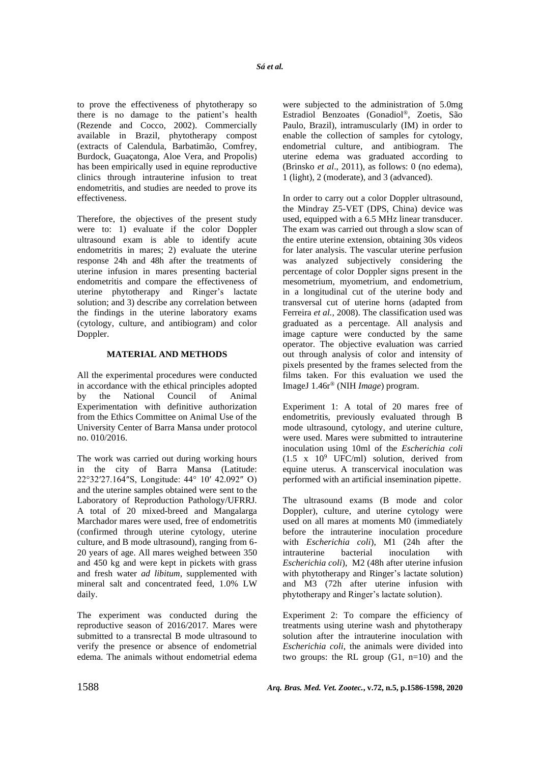to prove the effectiveness of phytotherapy so there is no damage to the patient's health (Rezende and Cocco, 2002). Commercially available in Brazil, phytotherapy compost (extracts of Calendula, Barbatimão, Comfrey, Burdock, Guaçatonga, Aloe Vera, and Propolis) has been empirically used in equine reproductive clinics through intrauterine infusion to treat endometritis, and studies are needed to prove its effectiveness.

Therefore, the objectives of the present study were to: 1) evaluate if the color Doppler ultrasound exam is able to identify acute endometritis in mares; 2) evaluate the uterine response 24h and 48h after the treatments of uterine infusion in mares presenting bacterial endometritis and compare the effectiveness of uterine phytotherapy and Ringer's lactate solution; and 3) describe any correlation between the findings in the uterine laboratory exams (cytology, culture, and antibiogram) and color Doppler.

# **MATERIAL AND METHODS**

All the experimental procedures were conducted in accordance with the ethical principles adopted by the National Council of Animal Experimentation with definitive authorization from the Ethics Committee on Animal Use of the University Center of Barra Mansa under protocol no. 010/2016.

The work was carried out during working hours in the city of Barra Mansa (Latitude: 22°32′27.164″S, Longitude: 44° 10′ 42.092″ O) and the uterine samples obtained were sent to the Laboratory of Reproduction Pathology/UFRRJ. A total of 20 mixed-breed and Mangalarga Marchador mares were used, free of endometritis (confirmed through uterine cytology, uterine culture, and B mode ultrasound), ranging from 6- 20 years of age. All mares weighed between 350 and 450 kg and were kept in pickets with grass and fresh water *ad libitum*, supplemented with mineral salt and concentrated feed, 1.0% LW daily.

The experiment was conducted during the reproductive season of 2016/2017. Mares were submitted to a transrectal B mode ultrasound to verify the presence or absence of endometrial edema. The animals without endometrial edema were subjected to the administration of 5.0mg Estradiol Benzoates (Gonadiol®, Zoetis, São Paulo, Brazil), intramuscularly (IM) in order to enable the collection of samples for cytology, endometrial culture, and antibiogram. The uterine edema was graduated according to (Brinsko *et al*., 2011), as follows: 0 (no edema), 1 (light), 2 (moderate), and 3 (advanced).

In order to carry out a color Doppler ultrasound, the Mindray Z5-VET (DPS, China) device was used, equipped with a 6.5 MHz linear transducer. The exam was carried out through a slow scan of the entire uterine extension, obtaining 30s videos for later analysis. The vascular uterine perfusion was analyzed subjectively considering the percentage of color Doppler signs present in the mesometrium, myometrium, and endometrium, in a longitudinal cut of the uterine body and transversal cut of uterine horns (adapted from Ferreira *et al.,* 2008). The classification used was graduated as a percentage. All analysis and image capture were conducted by the same operator. The objective evaluation was carried out through analysis of color and intensity of pixels presented by the frames selected from the films taken. For this evaluation we used the ImageJ 1.46r® (NIH *Image*) program.

Experiment 1: A total of 20 mares free of endometritis, previously evaluated through B mode ultrasound, cytology, and uterine culture, were used. Mares were submitted to intrauterine inoculation using 10ml of the *Escherichia coli*  $(1.5 \times 10^9 \text{ UFC/ml})$  solution, derived from equine uterus. A transcervical inoculation was performed with an artificial insemination pipette.

The ultrasound exams (B mode and color Doppler), culture, and uterine cytology were used on all mares at moments M0 (immediately before the intrauterine inoculation procedure with *Escherichia coli*), M1 (24h after the intrauterine bacterial inoculation with *Escherichia coli*), M2 (48h after uterine infusion with phytotherapy and Ringer's lactate solution) and M3 (72h after uterine infusion with phytotherapy and Ringer's lactate solution).

Experiment 2: To compare the efficiency of treatments using uterine wash and phytotherapy solution after the intrauterine inoculation with *Escherichia coli*, the animals were divided into two groups: the RL group  $(G1, n=10)$  and the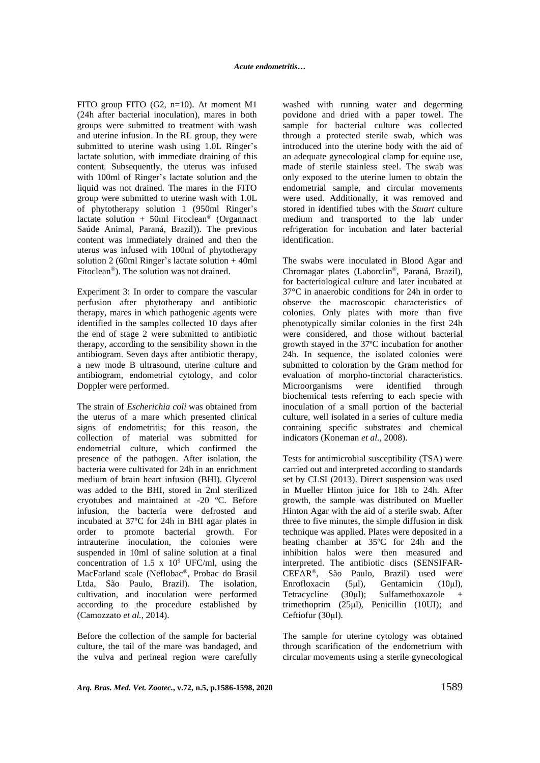FITO group FITO (G2, n=10). At moment M1 (24h after bacterial inoculation), mares in both groups were submitted to treatment with wash and uterine infusion. In the RL group, they were submitted to uterine wash using 1.0L Ringer's lactate solution, with immediate draining of this content. Subsequently, the uterus was infused with 100ml of Ringer's lactate solution and the liquid was not drained. The mares in the FITO group were submitted to uterine wash with 1.0L of phytotherapy solution 1 (950ml Ringer's lactate solution + 50ml Fitoclean® (Organnact Saúde Animal, Paraná, Brazil)). The previous content was immediately drained and then the uterus was infused with 100ml of phytotherapy solution 2 (60ml Ringer's lactate solution + 40ml Fitoclean®). The solution was not drained.

Experiment 3: In order to compare the vascular perfusion after phytotherapy and antibiotic therapy, mares in which pathogenic agents were identified in the samples collected 10 days after the end of stage 2 were submitted to antibiotic therapy, according to the sensibility shown in the antibiogram. Seven days after antibiotic therapy, a new mode B ultrasound, uterine culture and antibiogram, endometrial cytology, and color Doppler were performed.

The strain of *Escherichia coli* was obtained from the uterus of a mare which presented clinical signs of endometritis; for this reason, the collection of material was submitted for endometrial culture, which confirmed the presence of the pathogen. After isolation, the bacteria were cultivated for 24h in an enrichment medium of brain heart infusion (BHI). Glycerol was added to the BHI, stored in 2ml sterilized cryotubes and maintained at -20 ºC. Before infusion, the bacteria were defrosted and incubated at 37ºC for 24h in BHI agar plates in order to promote bacterial growth. For intrauterine inoculation, the colonies were suspended in 10ml of saline solution at a final concentration of 1.5 x  $10^9$  UFC/ml, using the MacFarland scale (Neflobac®, Probac do Brasil Ltda, São Paulo, Brazil). The isolation, cultivation, and inoculation were performed according to the procedure established by (Camozzato *et al.,* 2014).

Before the collection of the sample for bacterial culture, the tail of the mare was bandaged, and the vulva and perineal region were carefully washed with running water and degerming povidone and dried with a paper towel. The sample for bacterial culture was collected through a protected sterile swab, which was introduced into the uterine body with the aid of an adequate gynecological clamp for equine use, made of sterile stainless steel. The swab was only exposed to the uterine lumen to obtain the endometrial sample, and circular movements were used. Additionally, it was removed and stored in identified tubes with the *Stuart* culture medium and transported to the lab under refrigeration for incubation and later bacterial identification.

The swabs were inoculated in Blood Agar and Chromagar plates (Laborclin®, Paraná, Brazil), for bacteriological culture and later incubated at 37°C in anaerobic conditions for 24h in order to observe the macroscopic characteristics of colonies. Only plates with more than five phenotypically similar colonies in the first 24h were considered, and those without bacterial growth stayed in the 37ºC incubation for another 24h. In sequence, the isolated colonies were submitted to coloration by the Gram method for evaluation of morpho-tinctorial characteristics. Microorganisms were identified through biochemical tests referring to each specie with inoculation of a small portion of the bacterial culture, well isolated in a series of culture media containing specific substrates and chemical indicators (Koneman *et al.,* 2008).

Tests for antimicrobial susceptibility (TSA) were carried out and interpreted according to standards set by CLSI (2013). Direct suspension was used in Mueller Hinton juice for 18h to 24h. After growth, the sample was distributed on Mueller Hinton Agar with the aid of a sterile swab. After three to five minutes, the simple diffusion in disk technique was applied. Plates were deposited in a heating chamber at 35ºC for 24h and the inhibition halos were then measured and interpreted. The antibiotic discs (SENSIFAR-CEFAR®, São Paulo, Brazil) used were Enrofloxacin (5μl), Gentamicin (10μl), Tetracycline (30μl); Sulfamethoxazole + trimethoprim (25μl), Penicillin (10UI); and Ceftiofur (30μl).

The sample for uterine cytology was obtained through scarification of the endometrium with circular movements using a sterile gynecological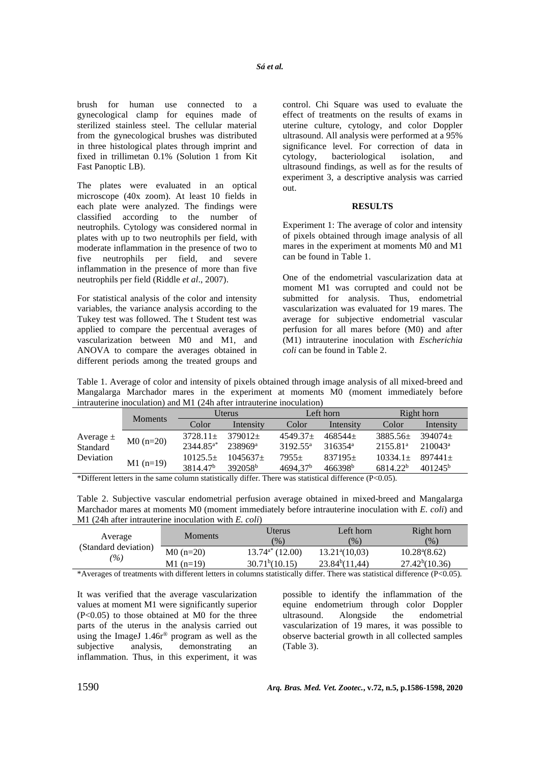brush for human use connected to a gynecological clamp for equines made of sterilized stainless steel. The cellular material from the gynecological brushes was distributed in three histological plates through imprint and fixed in trillimetan 0.1% (Solution 1 from Kit Fast Panoptic LB).

The plates were evaluated in an optical microscope (40x zoom). At least 10 fields in each plate were analyzed. The findings were classified according to the number of neutrophils. Cytology was considered normal in plates with up to two neutrophils per field, with moderate inflammation in the presence of two to five neutrophils per field, and severe inflammation in the presence of more than five neutrophils per field (Riddle *et al*., 2007).

For statistical analysis of the color and intensity variables, the variance analysis according to the Tukey test was followed. The t Student test was applied to compare the percentual averages of vascularization between M0 and M1, and ANOVA to compare the averages obtained in different periods among the treated groups and control. Chi Square was used to evaluate the effect of treatments on the results of exams in uterine culture, cytology, and color Doppler ultrasound. All analysis were performed at a 95% significance level. For correction of data in cytology, bacteriological isolation, and ultrasound findings, as well as for the results of experiment 3, a descriptive analysis was carried out.

### **RESULTS**

Experiment 1: The average of color and intensity of pixels obtained through image analysis of all mares in the experiment at moments M0 and M1 can be found in Table 1.

One of the endometrial vascularization data at moment M1 was corrupted and could not be submitted for analysis. Thus, endometrial vascularization was evaluated for 19 mares. The average for subjective endometrial vascular perfusion for all mares before (M0) and after (M1) intrauterine inoculation with *Escherichia coli* can be found in Table 2.

Table 1. Average of color and intensity of pixels obtained through image analysis of all mixed-breed and Mangalarga Marchador mares in the experiment at moments M0 (moment immediately before intrauterine inoculation) and M1 (24h after intrauterine inoculation)

|               |                | Uterus               |                     | Left horn            |                     | Right horn           |                     |  |
|---------------|----------------|----------------------|---------------------|----------------------|---------------------|----------------------|---------------------|--|
|               | <b>Moments</b> | Color                | Intensity           | Color                | Intensity           | Color                | Intensity           |  |
| Average $\pm$ | $M0(n=20)$     | $3728.11+$           | $379012+$           | $4549.37+$           | $468544+$           | $3885.56+$           | $394074+$           |  |
| Standard      |                | $2344.85^{a*}$       | 238969ª             | 3192.55 <sup>a</sup> | $316354^a$          | 2155.81 <sup>a</sup> | $210043^a$          |  |
| Deviation     |                | $10125.5+$           | $1045637+$          | $7955+$              | $837195+$           | $10334.1+$           | $897441+$           |  |
|               | $M1(n=19)$     | 3814.47 <sup>b</sup> | 392058 <sup>b</sup> | 4694.37 <sup>b</sup> | 466398 <sup>b</sup> | 6814.22 <sup>b</sup> | 401245 <sup>b</sup> |  |

\*Different letters in the same column statistically differ. There was statistical difference (P<0.05).

Table 2. Subjective vascular endometrial perfusion average obtained in mixed-breed and Mangalarga Marchador mares at moments M0 (moment immediately before intrauterine inoculation with *E. coli*) and M1 (24h after intrauterine inoculation with *E. coli*)

| Average                               | <b>Moments</b> | Jterus<br>$\frac{9}{6}$       | Left horn<br>$\frac{6}{90}$ | Right horn<br>(9)          |
|---------------------------------------|----------------|-------------------------------|-----------------------------|----------------------------|
| (Standard deviation)<br>$\frac{1}{2}$ | $M0(n=20)$     | $13.74^{\mathrm{a}*}$ (12.00) | $13.21^{\circ}(10.03)$      | $10.28^{\circ}(8.62)$      |
|                                       | $M1$ (n=19)    | 30.71 <sup>b</sup> (10.15)    | 23.84 <sup>b</sup> (11,44)  | 27.42 <sup>b</sup> (10.36) |
| <br>.                                 | .              |                               | $-$                         | .                          |

\*Averages of treatments with different letters in columns statistically differ. There was statistical difference (P<0.05).

It was verified that the average vascularization values at moment M1 were significantly superior  $(P<0.05)$  to those obtained at M0 for the three parts of the uterus in the analysis carried out using the ImageJ  $1.46r^{\circ}$  program as well as the subjective analysis, demonstrating an subjective analysis, demonstrating an inflammation. Thus, in this experiment, it was possible to identify the inflammation of the equine endometrium through color Doppler ultrasound. Alongside the endometrial vascularization of 19 mares, it was possible to observe bacterial growth in all collected samples (Table 3).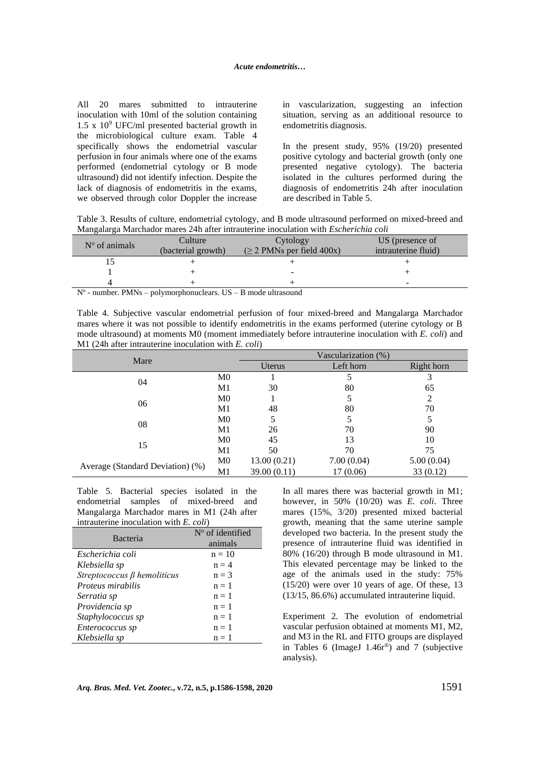All 20 mares submitted to intrauterine inoculation with 10ml of the solution containing  $1.5 \times 10^9$  UFC/ml presented bacterial growth in the microbiological culture exam. Table 4 specifically shows the endometrial vascular perfusion in four animals where one of the exams performed (endometrial cytology or B mode ultrasound) did not identify infection. Despite the lack of diagnosis of endometritis in the exams, we observed through color Doppler the increase in vascularization, suggesting an infection situation, serving as an additional resource to endometritis diagnosis.

In the present study, 95% (19/20) presented positive cytology and bacterial growth (only one presented negative cytology). The bacteria isolated in the cultures performed during the diagnosis of endometritis 24h after inoculation are described in Table 5.

Table 3. Results of culture, endometrial cytology, and B mode ultrasound performed on mixed-breed and Mangalarga Marchador mares 24h after intrauterine inoculation with *Escherichia coli*

| $N^{\circ}$ of animals | Culture            | Cytology                       | US (presence of     |
|------------------------|--------------------|--------------------------------|---------------------|
|                        | (bacterial growth) | $(\geq 2$ PMNs per field 400x) | intrauterine fluid) |
|                        |                    |                                |                     |
|                        |                    | $\overline{\phantom{0}}$       |                     |
|                        |                    |                                | -                   |

Nº - number. PMNs – polymorphonuclears. US – B mode ultrasound

Table 4. Subjective vascular endometrial perfusion of four mixed-breed and Mangalarga Marchador mares where it was not possible to identify endometritis in the exams performed (uterine cytology or B mode ultrasound) at moments M0 (moment immediately before intrauterine inoculation with *E. coli*) and M1 (24h after intrauterine inoculation with *E. coli*)

| Mare                             |                | Vascularization (%) |            |            |  |
|----------------------------------|----------------|---------------------|------------|------------|--|
|                                  |                | Uterus              | Left horn  | Right horn |  |
| 04                               | M <sub>0</sub> |                     |            | 3          |  |
|                                  | M1             | 30                  | 80         | 65         |  |
| 06                               | M <sub>0</sub> |                     |            | 2          |  |
|                                  | M1             | 48                  | 80         | 70         |  |
| 08                               | M <sub>0</sub> | 5                   |            | 5          |  |
|                                  | M1             | 26                  | 70         | 90         |  |
| 15                               | M <sub>0</sub> | 45                  | 13         | 10         |  |
|                                  | M1             | 50                  | 70         | 75         |  |
|                                  | M <sub>0</sub> | 13.00(0.21)         | 7.00(0.04) | 5.00(0.04) |  |
| Average (Standard Deviation) (%) | M1             | 39.00 (0.11)        | 17(0.06)   | 33 (0.12)  |  |

Table 5. Bacterial species isolated in the endometrial samples of mixed-breed and Mangalarga Marchador mares in M1 (24h after intrauterine inoculation with *E. coli*)

| Bacteria                          | $N^{\circ}$ of identified |  |  |
|-----------------------------------|---------------------------|--|--|
|                                   | animals                   |  |  |
| Escherichia coli                  | $n = 10$                  |  |  |
| Klebsiella sp                     | $n = 4$                   |  |  |
| Streptococcus $\beta$ hemoliticus | $n = 3$                   |  |  |
| Proteus mirabilis                 | $n = 1$                   |  |  |
| Serratia sp                       | $n = 1$                   |  |  |
| Providencia sp                    | $n = 1$                   |  |  |
| Staphylococcus sp                 | $n = 1$                   |  |  |
| Enterococcus sp                   | $n = 1$                   |  |  |
| Klebsiella sp                     | $n = 1$                   |  |  |

In all mares there was bacterial growth in M1; however, in 50% (10/20) was *E. coli*. Three mares (15%, 3/20) presented mixed bacterial growth, meaning that the same uterine sample developed two bacteria. In the present study the presence of intrauterine fluid was identified in 80% (16/20) through B mode ultrasound in M1. This elevated percentage may be linked to the age of the animals used in the study: 75% (15/20) were over 10 years of age. Of these, 13  $(13/15, 86.6\%)$  accumulated intrauterine liquid.

Experiment 2. The evolution of endometrial vascular perfusion obtained at moments M1, M2, and M3 in the RL and FITO groups are displayed in Tables 6 (ImageJ  $1.46r^{\circledcirc}$ ) and 7 (subjective analysis).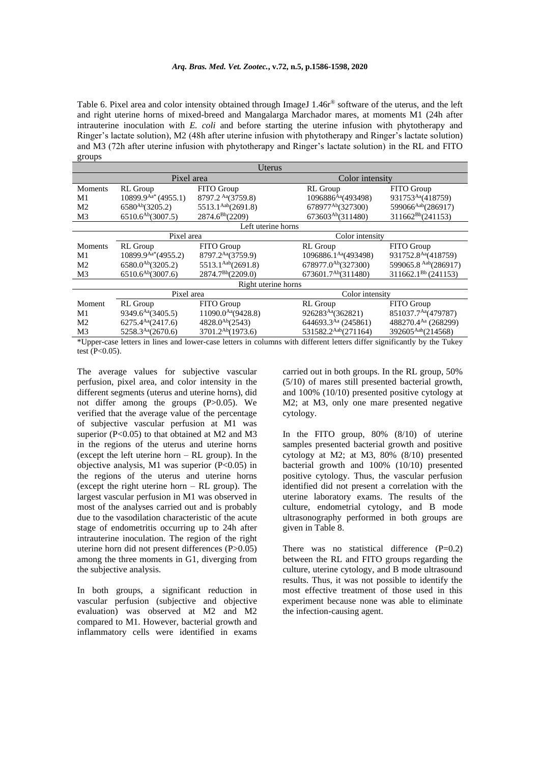Table 6. Pixel area and color intensity obtained through ImageJ 1.46r<sup>®</sup> software of the uterus, and the left and right uterine horns of mixed-breed and Mangalarga Marchador mares, at moments M1 (24h after intrauterine inoculation with *E. coli* and before starting the uterine infusion with phytotherapy and Ringer's lactate solution), M2 (48h after uterine infusion with phytotherapy and Ringer's lactate solution) and M3 (72h after uterine infusion with phytotherapy and Ringer's lactate solution) in the RL and FITO groups

| Uterus                        |                                                      |                                                                                                                              |                                    |  |  |  |
|-------------------------------|------------------------------------------------------|------------------------------------------------------------------------------------------------------------------------------|------------------------------------|--|--|--|
|                               |                                                      |                                                                                                                              |                                    |  |  |  |
| RL Group                      | FITO Group                                           | RL Group                                                                                                                     | FITO Group                         |  |  |  |
| $10899.9^{Aa*}(4955.1)$       | 8797.2 Aa(3759.8)                                    | 1096886Aa(493498)                                                                                                            | 931753Aa(418759)                   |  |  |  |
| $6580^{Ab}$ $(3205.2)$        | 5513.1 <sup>Aab</sup> (2691.8)                       | 678977 <sup>Ab</sup> (327300)                                                                                                | 599066Aab(286917)                  |  |  |  |
| $6510.6^{Ab}$ $(3007.5)$      | 2874.6 <sup>Bb</sup> (2209)                          | 673603Ab(311480)                                                                                                             | 311662 <sup>Bb</sup> (241153)      |  |  |  |
| Left uterine horns            |                                                      |                                                                                                                              |                                    |  |  |  |
|                               |                                                      |                                                                                                                              |                                    |  |  |  |
| RL Group                      | FITO Group                                           | RL Group                                                                                                                     | FITO Group                         |  |  |  |
| $10899.9^{Aa*}(4955.2)$       | 8797.2 <sup>Aa</sup> (3759.9)                        | 1096886.1 <sup>Aa</sup> (493498)                                                                                             | 931752.8 <sup>Aa</sup> (418759)    |  |  |  |
|                               |                                                      | 678977.0 <sup>Ab</sup> (327300)                                                                                              | 599065.8 Aab(286917)               |  |  |  |
|                               |                                                      | 673601.7 <sup>Ab</sup> (311480)                                                                                              | $311662.1^{Bb} (241153)$           |  |  |  |
| Right uterine horns           |                                                      |                                                                                                                              |                                    |  |  |  |
| Color intensity<br>Pixel area |                                                      |                                                                                                                              |                                    |  |  |  |
| RL Group                      | FITO Group                                           | RL Group                                                                                                                     | FITO Group                         |  |  |  |
| 9349.6 <sup>Aa</sup> (3405.5) | $11090.0^{Aa}(9428.8)$                               | 926283Aa(362821)                                                                                                             | 851037.7 <sup>Aa</sup> (479787)    |  |  |  |
| 6275.4 <sup>Aa</sup> (2417.6) | 4828.0 <sup>Ab</sup> (2543)                          | 644693.3Aa (245861)                                                                                                          | 488270.4Aa (268299)                |  |  |  |
| 5258.3 <sup>Aa</sup> (2670.6) |                                                      | 531582.2Aab(271164)                                                                                                          | 392605Aab(214568)                  |  |  |  |
|                               | $6580.0^{Ab}$ $(3205.2)$<br>$6510.6^{Ab}$ $(3007.6)$ | Pixel area<br>Pixel area<br>5513.1 <sup>Aab</sup> (2691.8)<br>2874.7 <sup>Bb</sup> (2209.0)<br>3701.2 <sup>Ab</sup> (1973.6) | Color intensity<br>Color intensity |  |  |  |

\*Upper-case letters in lines and lower-case letters in columns with different letters differ significantly by the Tukey test  $(P<0.05)$ .

The average values for subjective vascular perfusion, pixel area, and color intensity in the different segments (uterus and uterine horns), did not differ among the groups (P>0.05). We verified that the average value of the percentage of subjective vascular perfusion at M1 was superior  $(P<0.05)$  to that obtained at M2 and M3 in the regions of the uterus and uterine horns (except the left uterine horn – RL group). In the objective analysis, M1 was superior (P<0.05) in the regions of the uterus and uterine horns (except the right uterine horn – RL group). The largest vascular perfusion in M1 was observed in most of the analyses carried out and is probably due to the vasodilation characteristic of the acute stage of endometritis occurring up to 24h after intrauterine inoculation. The region of the right uterine horn did not present differences (P>0.05) among the three moments in G1, diverging from the subjective analysis.

In both groups, a significant reduction in vascular perfusion (subjective and objective evaluation) was observed at M2 and M2 compared to M1. However, bacterial growth and inflammatory cells were identified in exams carried out in both groups. In the RL group, 50% (5/10) of mares still presented bacterial growth, and 100% (10/10) presented positive cytology at M2; at M3, only one mare presented negative cytology.

In the FITO group, 80% (8/10) of uterine samples presented bacterial growth and positive cytology at M2; at M3, 80% (8/10) presented bacterial growth and 100% (10/10) presented positive cytology. Thus, the vascular perfusion identified did not present a correlation with the uterine laboratory exams. The results of the culture, endometrial cytology, and B mode ultrasonography performed in both groups are given in Table 8.

There was no statistical difference  $(P=0.2)$ between the RL and FITO groups regarding the culture, uterine cytology, and B mode ultrasound results. Thus, it was not possible to identify the most effective treatment of those used in this experiment because none was able to eliminate the infection-causing agent.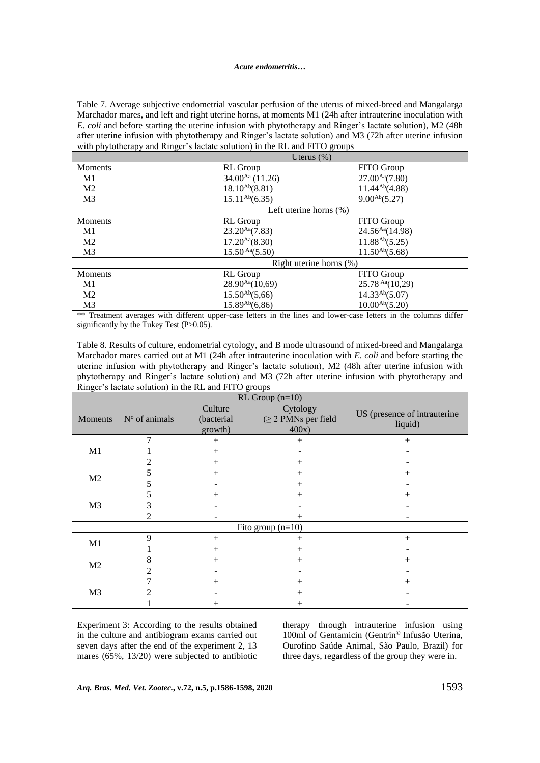#### *Acute endometritis…*

Table 7. Average subjective endometrial vascular perfusion of the uterus of mixed-breed and Mangalarga Marchador mares, and left and right uterine horns, at moments M1 (24h after intrauterine inoculation with *E. coli* and before starting the uterine infusion with phytotherapy and Ringer's lactate solution), M2 (48h after uterine infusion with phytotherapy and Ringer's lactate solution) and M3 (72h after uterine infusion with phytotherapy and Ringer's lactate solution) in the RL and FITO groups

|                | Uterus $(\%)$                            |                     |  |  |
|----------------|------------------------------------------|---------------------|--|--|
| <b>Moments</b> | RL Group                                 | FITO Group          |  |  |
| M1             | $34.00^{Aa}$ (11.26)                     | $27.00^{Aa}(7.80)$  |  |  |
| M <sub>2</sub> | $18.10^{Ab}(8.81)$                       | $11.44^{Ab}(4.88)$  |  |  |
| M <sub>3</sub> | $15.11^{Ab}(6.35)$                       | $9.00^{Ab}(5.27)$   |  |  |
|                | Left uterine horns $(\%)$                |                     |  |  |
| Moments        | RL Group                                 | FITO Group          |  |  |
| M1             | $23.20^{Aa}(7.83)$                       | $24.56^{Aa}(14.98)$ |  |  |
| M <sub>2</sub> | $17.20^{Aa}(8.30)$                       | $11.88^{Ab}(5.25)$  |  |  |
| M <sub>3</sub> | $15.50^{Aa}(5.50)$                       | $11.50^{Ab}(5.68)$  |  |  |
|                | Right uterine horns $(\%)$               |                     |  |  |
| <b>Moments</b> | RL Group                                 | FITO Group          |  |  |
| M1             | $28.90^{Aa}(10,69)$                      | $25.78^{Aa}(10,29)$ |  |  |
| M <sub>2</sub> | $15.50^{Ab}(5,66)$                       | $14.33^{Ab}(5.07)$  |  |  |
| M <sub>3</sub> | $15.89^{Ab}(6,86)$<br>$10.00^{Ab}(5.20)$ |                     |  |  |

\*\* Treatment averages with different upper-case letters in the lines and lower-case letters in the columns differ significantly by the Tukey Test (P>0.05).

Table 8. Results of culture, endometrial cytology, and B mode ultrasound of mixed-breed and Mangalarga Marchador mares carried out at M1 (24h after intrauterine inoculation with *E. coli* and before starting the uterine infusion with phytotherapy and Ringer's lactate solution), M2 (48h after uterine infusion with phytotherapy and Ringer's lactate solution) and M3 (72h after uterine infusion with phytotherapy and Ringer's lactate solution) in the RL and FITO groups

| $RL$ Group (n=10)   |                 |                                  |                                               |                                         |  |  |
|---------------------|-----------------|----------------------------------|-----------------------------------------------|-----------------------------------------|--|--|
| Moments             | $No$ of animals | Culture<br>(bacterial<br>growth) | Cytology<br>$(\geq 2$ PMNs per field<br>400x) | US (presence of intrauterine<br>liquid) |  |  |
|                     | 7               | $^{+}$                           | $+$                                           | $^{+}$                                  |  |  |
| M1                  |                 | $^{+}$                           |                                               |                                         |  |  |
|                     |                 | $^{+}$                           | $^{+}$                                        |                                         |  |  |
| M <sub>2</sub>      | 5               | $^{+}$                           | $^{+}$                                        | $^{+}$                                  |  |  |
|                     | 5               |                                  | $^{+}$                                        |                                         |  |  |
| M <sub>3</sub>      | 5               | $+$                              | $+$                                           | $^{+}$                                  |  |  |
|                     | 3               |                                  |                                               |                                         |  |  |
|                     | 2               |                                  | $^{+}$                                        |                                         |  |  |
| Fito group $(n=10)$ |                 |                                  |                                               |                                         |  |  |
| M1                  | 9               | $+$                              | $^{+}$                                        | $^{+}$                                  |  |  |
|                     |                 | $^{+}$                           | $^{+}$                                        |                                         |  |  |
| M <sub>2</sub>      | 8               | $^{+}$                           | $^{+}$                                        | $\hspace{0.1mm} +$                      |  |  |
|                     | 2               |                                  |                                               |                                         |  |  |
|                     | 7               | $^{+}$                           | $+$                                           | $^{+}$                                  |  |  |
| M <sub>3</sub>      |                 |                                  | $^{+}$                                        |                                         |  |  |
|                     |                 | $^+$                             | ┿                                             |                                         |  |  |

Experiment 3: According to the results obtained in the culture and antibiogram exams carried out seven days after the end of the experiment 2, 13 mares (65%, 13/20) were subjected to antibiotic

therapy through intrauterine infusion using 100ml of Gentamicin (Gentrin® Infusão Uterina, Ourofino Saúde Animal, São Paulo, Brazil) for three days, regardless of the group they were in.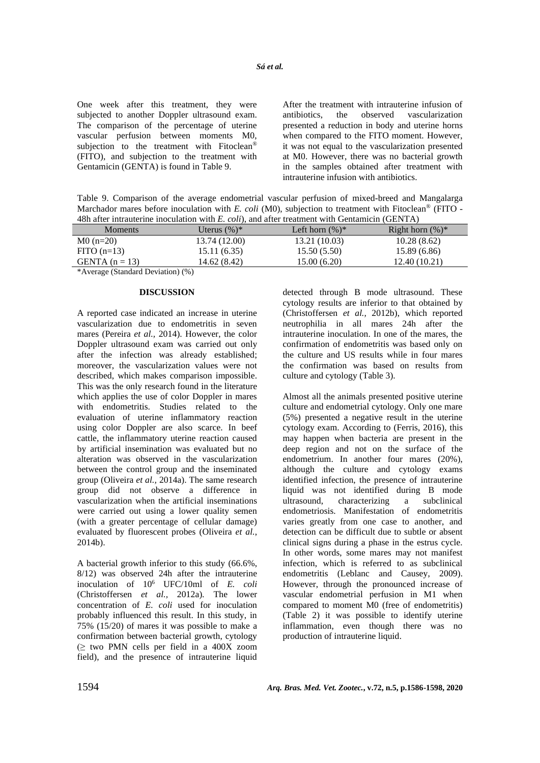One week after this treatment, they were subjected to another Doppler ultrasound exam. The comparison of the percentage of uterine vascular perfusion between moments M0, subjection to the treatment with Fitoclean<sup>®</sup> (FITO), and subjection to the treatment with Gentamicin (GENTA) is found in Table 9.

After the treatment with intrauterine infusion of antibiotics, the observed vascularization presented a reduction in body and uterine horns when compared to the FITO moment. However, it was not equal to the vascularization presented at M0. However, there was no bacterial growth in the samples obtained after treatment with intrauterine infusion with antibiotics.

Table 9. Comparison of the average endometrial vascular perfusion of mixed-breed and Mangalarga Marchador mares before inoculation with *E. coli* (M0), subjection to treatment with Fitoclean<sup>®</sup> (FITO -48h after intrauterine inoculation with *E. coli*), and after treatment with Gentamicin (GENTA)

| Ton area mataucrine moculation with D. Coll), and area treatment with comanicin (ODIVITI) |                 |                    |                     |  |  |
|-------------------------------------------------------------------------------------------|-----------------|--------------------|---------------------|--|--|
| Moments                                                                                   | Uterus $(\%)^*$ | Left horn $(\%)^*$ | Right horn $(\%)^*$ |  |  |
| $M0(n=20)$                                                                                | 13.74 (12.00)   | 13.21 (10.03)      | 10.28(8.62)         |  |  |
| $FITO$ (n=13)                                                                             | 15.11 (6.35)    | 15.50(5.50)        | 15.89 (6.86)        |  |  |
| GENTA $(n = 13)$                                                                          | 14.62 (8.42)    | 15.00 (6.20)       | 12.40(10.21)        |  |  |
| $\mathbf{r}$ and $\mathbf{r}$ and $\mathbf{r}$ and $\mathbf{r}$ and $\mathbf{r}$          |                 |                    |                     |  |  |

\*Average (Standard Deviation) (%)

## **DISCUSSION**

A reported case indicated an increase in uterine vascularization due to endometritis in seven mares (Pereira *et al.,* 2014). However, the color Doppler ultrasound exam was carried out only after the infection was already established; moreover, the vascularization values were not described, which makes comparison impossible. This was the only research found in the literature which applies the use of color Doppler in mares with endometritis. Studies related to the evaluation of uterine inflammatory reaction using color Doppler are also scarce. In beef cattle, the inflammatory uterine reaction caused by artificial insemination was evaluated but no alteration was observed in the vascularization between the control group and the inseminated group (Oliveira *et al.,* 2014a). The same research group did not observe a difference in vascularization when the artificial inseminations were carried out using a lower quality semen (with a greater percentage of cellular damage) evaluated by fluorescent probes (Oliveira *et al.*, 2014b).

A bacterial growth inferior to this study (66.6%, 8/12) was observed 24h after the intrauterine inoculation of 10<sup>6</sup> UFC/10ml of *E. coli* (Christoffersen *et al.,* 2012a)*.* The lower concentration of *E. coli* used for inoculation probably influenced this result. In this study, in 75% (15/20) of mares it was possible to make a confirmation between bacterial growth, cytology  $\geq$  two PMN cells per field in a 400X zoom field), and the presence of intrauterine liquid

detected through B mode ultrasound. These cytology results are inferior to that obtained by (Christoffersen *et al.,* 2012b), which reported neutrophilia in all mares 24h after the intrauterine inoculation. In one of the mares, the confirmation of endometritis was based only on the culture and US results while in four mares the confirmation was based on results from culture and cytology (Table 3).

Almost all the animals presented positive uterine culture and endometrial cytology. Only one mare (5%) presented a negative result in the uterine cytology exam. According to (Ferris, 2016), this may happen when bacteria are present in the deep region and not on the surface of the endometrium. In another four mares (20%), although the culture and cytology exams identified infection, the presence of intrauterine liquid was not identified during B mode ultrasound, characterizing a subclinical endometriosis. Manifestation of endometritis varies greatly from one case to another, and detection can be difficult due to subtle or absent clinical signs during a phase in the estrus cycle. In other words, some mares may not manifest infection, which is referred to as subclinical endometritis (Leblanc and Causey, 2009). However, through the pronounced increase of vascular endometrial perfusion in M1 when compared to moment M0 (free of endometritis) (Table 2) it was possible to identify uterine inflammation, even though there was no production of intrauterine liquid.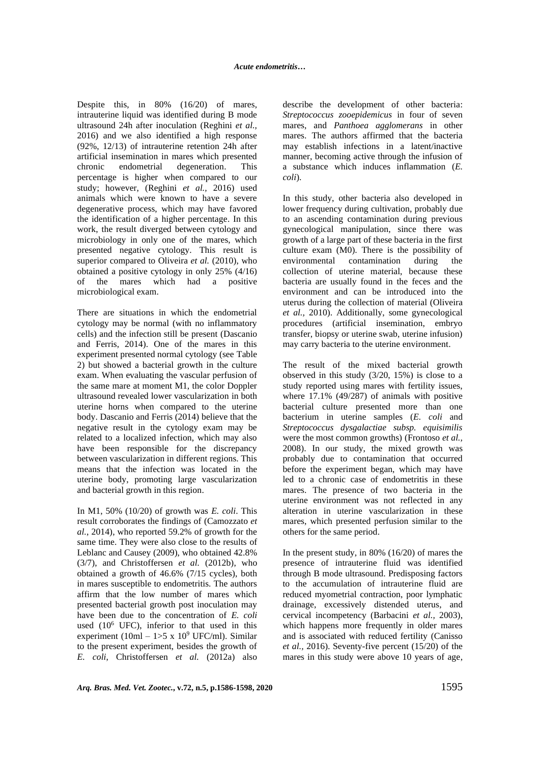Despite this, in 80% (16/20) of mares, intrauterine liquid was identified during B mode ultrasound 24h after inoculation (Reghini *et al.,*  2016) and we also identified a high response (92%, 12/13) of intrauterine retention 24h after artificial insemination in mares which presented chronic endometrial degeneration. This percentage is higher when compared to our study; however, (Reghini *et al.,* 2016) used animals which were known to have a severe degenerative process, which may have favored the identification of a higher percentage. In this work, the result diverged between cytology and microbiology in only one of the mares, which presented negative cytology. This result is superior compared to Oliveira et al. (2010), who obtained a positive cytology in only 25% (4/16) of the mares which had a positive microbiological exam.

There are situations in which the endometrial cytology may be normal (with no inflammatory cells) and the infection still be present (Dascanio and Ferris, 2014). One of the mares in this experiment presented normal cytology (see Table 2) but showed a bacterial growth in the culture exam. When evaluating the vascular perfusion of the same mare at moment M1, the color Doppler ultrasound revealed lower vascularization in both uterine horns when compared to the uterine body. Dascanio and Ferris (2014) believe that the negative result in the cytology exam may be related to a localized infection, which may also have been responsible for the discrepancy between vascularization in different regions. This means that the infection was located in the uterine body, promoting large vascularization and bacterial growth in this region.

In M1, 50% (10/20) of growth was *E. coli*. This result corroborates the findings of (Camozzato *et al.*, 2014), who reported 59.2% of growth for the same time. They were also close to the results of Leblanc and Causey (2009), who obtained 42.8% (3/7), and Christoffersen *et al.* (2012b), who obtained a growth of 46.6% (7/15 cycles), both in mares susceptible to endometritis. The authors affirm that the low number of mares which presented bacterial growth post inoculation may have been due to the concentration of *E. coli* used  $(10^6$  UFC), inferior to that used in this experiment (10ml – 1>5 x 10<sup>9</sup> UFC/ml). Similar to the present experiment, besides the growth of *E. coli*, Christoffersen *et al.* (2012a) also describe the development of other bacteria: *Streptococcus zooepidemicus* in four of seven mares, and *Panthoea agglomerans* in other mares. The authors affirmed that the bacteria may establish infections in a latent/inactive manner, becoming active through the infusion of a substance which induces inflammation (*E. coli*).

In this study, other bacteria also developed in lower frequency during cultivation, probably due to an ascending contamination during previous gynecological manipulation, since there was growth of a large part of these bacteria in the first culture exam (M0). There is the possibility of environmental contamination during the collection of uterine material, because these bacteria are usually found in the feces and the environment and can be introduced into the uterus during the collection of material (Oliveira *et al.,* 2010). Additionally, some gynecological procedures (artificial insemination, embryo transfer, biopsy or uterine swab, uterine infusion) may carry bacteria to the uterine environment.

The result of the mixed bacterial growth observed in this study (3/20, 15%) is close to a study reported using mares with fertility issues, where 17.1% (49/287) of animals with positive bacterial culture presented more than one bacterium in uterine samples (*E. coli* and *Streptococcus dysgalactiae subsp. equisimilis* were the most common growths) (Frontoso *et al.,*  2008). In our study, the mixed growth was probably due to contamination that occurred before the experiment began, which may have led to a chronic case of endometritis in these mares. The presence of two bacteria in the uterine environment was not reflected in any alteration in uterine vascularization in these mares, which presented perfusion similar to the others for the same period.

In the present study, in 80% (16/20) of mares the presence of intrauterine fluid was identified through B mode ultrasound. Predisposing factors to the accumulation of intrauterine fluid are reduced myometrial contraction, poor lymphatic drainage, excessively distended uterus, and cervical incompetency (Barbacini *et al.,* 2003), which happens more frequently in older mares and is associated with reduced fertility (Canisso *et al.,* 2016). Seventy-five percent (15/20) of the mares in this study were above 10 years of age,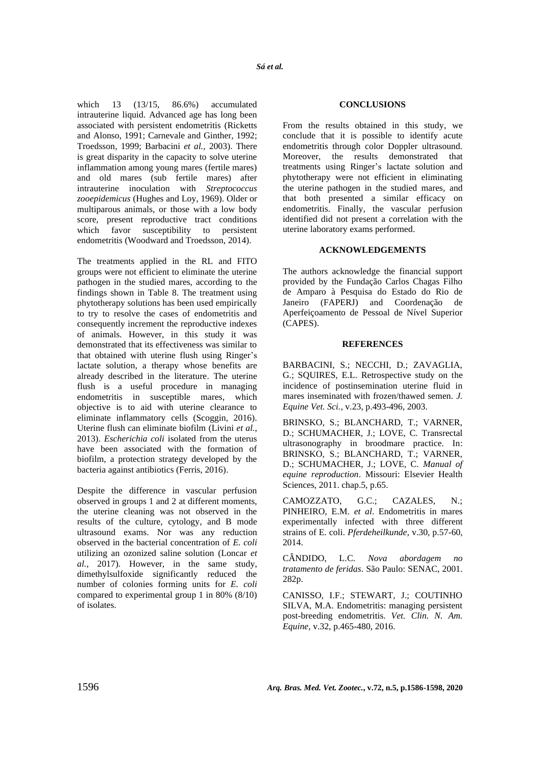which 13 (13/15, 86.6%) accumulated intrauterine liquid. Advanced age has long been associated with persistent endometritis (Ricketts and Alonso, 1991; Carnevale and Ginther, 1992; Troedsson, 1999; Barbacini *et al.,* 2003). There is great disparity in the capacity to solve uterine inflammation among young mares (fertile mares) and old mares (sub fertile mares) after intrauterine inoculation with *Streptococcus zooepidemicus* (Hughes and Loy, 1969). Older or multiparous animals, or those with a low body score, present reproductive tract conditions which favor susceptibility to persistent endometritis (Woodward and Troedsson, 2014).

The treatments applied in the RL and FITO groups were not efficient to eliminate the uterine pathogen in the studied mares, according to the findings shown in Table 8. The treatment using phytotherapy solutions has been used empirically to try to resolve the cases of endometritis and consequently increment the reproductive indexes of animals. However, in this study it was demonstrated that its effectiveness was similar to that obtained with uterine flush using Ringer's lactate solution, a therapy whose benefits are already described in the literature. The uterine flush is a useful procedure in managing endometritis in susceptible mares, which objective is to aid with uterine clearance to eliminate inflammatory cells (Scoggin, 2016). Uterine flush can eliminate biofilm (Livini *et al.,*  2013). *Escherichia coli* isolated from the uterus have been associated with the formation of biofilm, a protection strategy developed by the bacteria against antibiotics (Ferris, 2016).

Despite the difference in vascular perfusion observed in groups 1 and 2 at different moments, the uterine cleaning was not observed in the results of the culture, cytology, and B mode ultrasound exams. Nor was any reduction observed in the bacterial concentration of *E. coli*  utilizing an ozonized saline solution (Loncar *et al.*, 2017). However, in the same study, dimethylsulfoxide significantly reduced the number of colonies forming units for *E. coli* compared to experimental group 1 in 80% (8/10) of isolates.

### **CONCLUSIONS**

From the results obtained in this study, we conclude that it is possible to identify acute endometritis through color Doppler ultrasound. Moreover, the results demonstrated that treatments using Ringer's lactate solution and phytotherapy were not efficient in eliminating the uterine pathogen in the studied mares, and that both presented a similar efficacy on endometritis. Finally, the vascular perfusion identified did not present a correlation with the uterine laboratory exams performed.

### **ACKNOWLEDGEMENTS**

The authors acknowledge the financial support provided by the Fundação Carlos Chagas Filho de Amparo à Pesquisa do Estado do Rio de Janeiro (FAPERJ) and Coordenação de Aperfeiçoamento de Pessoal de Nível Superior (CAPES).

### **REFERENCES**

BARBACINI, S.; NECCHI, D.; ZAVAGLIA, G.; SQUIRES, E.L. Retrospective study on the incidence of postinsemination uterine fluid in mares inseminated with frozen/thawed semen. *J. Equine Vet. Sci.*, v.23, p.493-496, 2003.

BRINSKO, S.; BLANCHARD, T.; VARNER, D.; SCHUMACHER, J.; LOVE, C. Transrectal ultrasonography in broodmare practice. In: BRINSKO, S.; BLANCHARD, T.; VARNER, D.; SCHUMACHER, J.; LOVE, C. *Manual of equine reproduction*. Missouri: Elsevier Health Sciences, 2011. chap.5, p.65.

CAMOZZATO, G.C.; CAZALES, N.; PINHEIRO, E.M. *et al*. Endometritis in mares experimentally infected with three different strains of E. coli. *Pferdeheilkunde*, v.30, p.57-60, 2014.

CÂNDIDO, L.C. *Nova abordagem no tratamento de feridas*. São Paulo: SENAC, 2001. 282p.

CANISSO, I.F.; STEWART, J.; COUTINHO SILVA, M.A. Endometritis: managing persistent post-breeding endometritis. *Vet. Clin. N. Am. Equine*, v.32, p.465-480, 2016.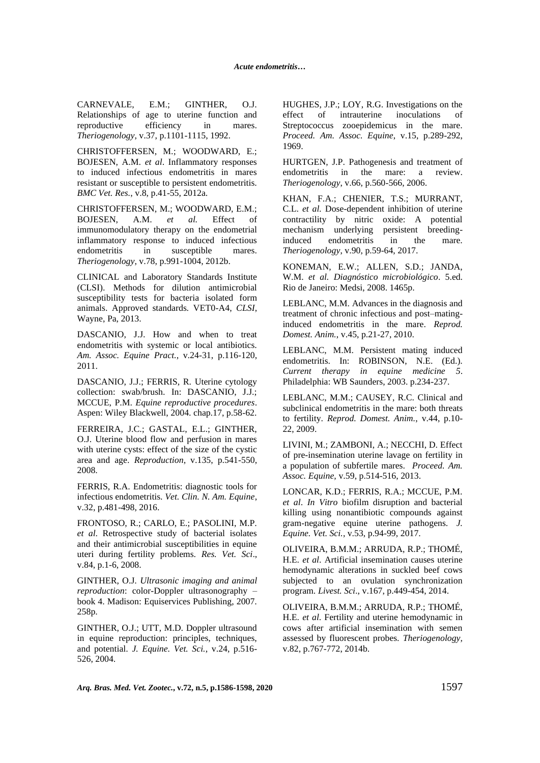CARNEVALE, E.M.; GINTHER, O.J. Relationships of age to uterine function and reproductive efficiency in mares. *Theriogenology*, v.37, p.1101-1115, 1992.

CHRISTOFFERSEN, M.; WOODWARD, E.; BOJESEN, A.M. *et al*. Inflammatory responses to induced infectious endometritis in mares resistant or susceptible to persistent endometritis. *BMC Vet. Res.*, v.8, p.41-55, 2012a.

CHRISTOFFERSEN, M.; WOODWARD, E.M.; BOJESEN, A.M. *et al.* Effect of immunomodulatory therapy on the endometrial inflammatory response to induced infectious endometritis in susceptible mares. *Theriogenology*, v.78, p.991-1004, 2012b.

CLINICAL and Laboratory Standards Institute (CLSI). Methods for dilution antimicrobial susceptibility tests for bacteria isolated form animals. Approved standards. VET0-A4, *CLSI*, Wayne, Pa, 2013.

DASCANIO, J.J. How and when to treat endometritis with systemic or local antibiotics. *Am. Assoc. Equine Pract.*, v.24-31, p.116-120, 2011.

DASCANIO, J.J.; FERRIS, R. Uterine cytology collection: swab/brush. In: DASCANIO, J.J.; MCCUE, P.M. *Equine reproductive procedures*. Aspen: Wiley Blackwell, 2004. chap.17, p.58-62.

FERREIRA, J.C.; GASTAL, E.L.; GINTHER, O.J. Uterine blood flow and perfusion in mares with uterine cysts: effect of the size of the cystic area and age. *Reproduction*, v.135, p.541-550, 2008.

FERRIS, R.A. Endometritis: diagnostic tools for infectious endometritis. *Vet. Clin. N. Am. Equine*, v.32, p.481-498, 2016.

FRONTOSO, R.; CARLO, E.; PASOLINI, M.P. *et al*. Retrospective study of bacterial isolates and their antimicrobial susceptibilities in equine uteri during fertility problems. *Res. Vet. Sci*., v.84, p.1-6, 2008.

GINTHER, O.J. *Ultrasonic imaging and animal reproduction*: color-Doppler ultrasonography – book 4. Madison: Equiservices Publishing, 2007. 258p.

GINTHER, O.J.; UTT, M.D. Doppler ultrasound in equine reproduction: principles, techniques, and potential. *J. Equine. Vet. Sci.*, v.24, p.516- 526, 2004.

HUGHES, J.P.; LOY, R.G. Investigations on the effect of intrauterine inoculations of Streptococcus zooepidemicus in the mare. *Proceed. Am. Assoc. Equine*, v.15, p.289-292, 1969.

HURTGEN, J.P. Pathogenesis and treatment of endometritis in the mare: a review. *Theriogenology*, v.66, p.560-566, 2006.

KHAN, F.A.; CHENIER, T.S.; MURRANT, C.L. *et al.* Dose-dependent inhibition of uterine contractility by nitric oxide: A potential mechanism underlying persistent breedinginduced endometritis in the mare. *Theriogenology*, v.90, p.59-64, 2017.

KONEMAN, E.W.; ALLEN, S.D.; JANDA, W.M. *et al. Diagnóstico microbiológico*. 5.ed. Rio de Janeiro: Medsi, 2008. 1465p.

LEBLANC, M.M. Advances in the diagnosis and treatment of chronic infectious and post–matinginduced endometritis in the mare. *Reprod. Domest. Anim.*, v.45, p.21-27, 2010.

LEBLANC, M.M. Persistent mating induced endometritis. In: ROBINSON, N.E. (Ed.). *Current therapy in equine medicine 5*. Philadelphia: WB Saunders, 2003. p.234-237.

LEBLANC, M.M.; CAUSEY, R.C. Clinical and subclinical endometritis in the mare: both threats to fertility. *Reprod. Domest. Anim.*, v.44, p.10- 22, 2009.

LIVINI, M.; ZAMBONI, A.; NECCHI, D. Effect of pre-insemination uterine lavage on fertility in a population of subfertile mares. *Proceed. Am. Assoc. Equine,* v.59, p.514-516, 2013.

LONCAR, K.D.; FERRIS, R.A.; MCCUE, P.M. *et al*. *In Vitro* biofilm disruption and bacterial killing using nonantibiotic compounds against gram-negative equine uterine pathogens. *J. Equine. Vet. Sci.*, v.53, p.94-99, 2017.

OLIVEIRA, B.M.M.; ARRUDA, R.P.; THOMÉ, H.E. *et al*. Artificial insemination causes uterine hemodynamic alterations in suckled beef cows subjected to an ovulation synchronization program. *Livest. Sci*., v.167, p.449-454, 2014.

OLIVEIRA, B.M.M.; ARRUDA, R.P.; THOMÉ, H.E. *et al*. Fertility and uterine hemodynamic in cows after artificial insemination with semen assessed by fluorescent probes. *Theriogenology,* v.82, p.767-772, 2014b.